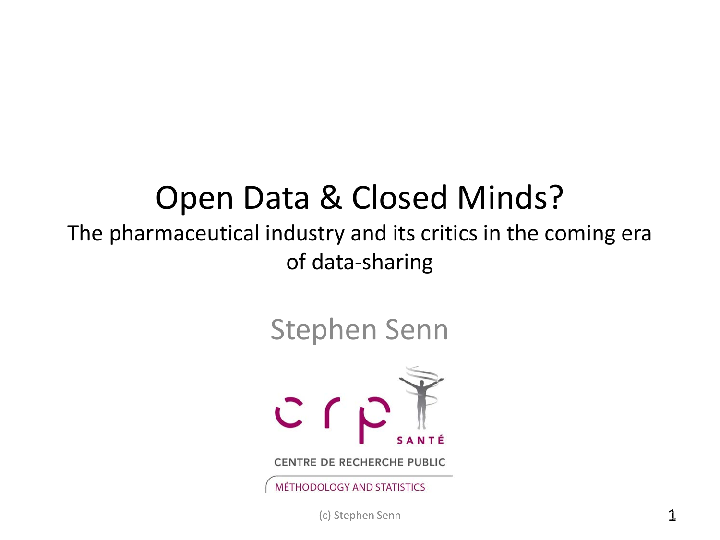#### Open Data & Closed Minds?

#### The pharmaceutical industry and its critics in the coming era of data-sharing

#### Stephen Senn



(c) Stephen Senn 11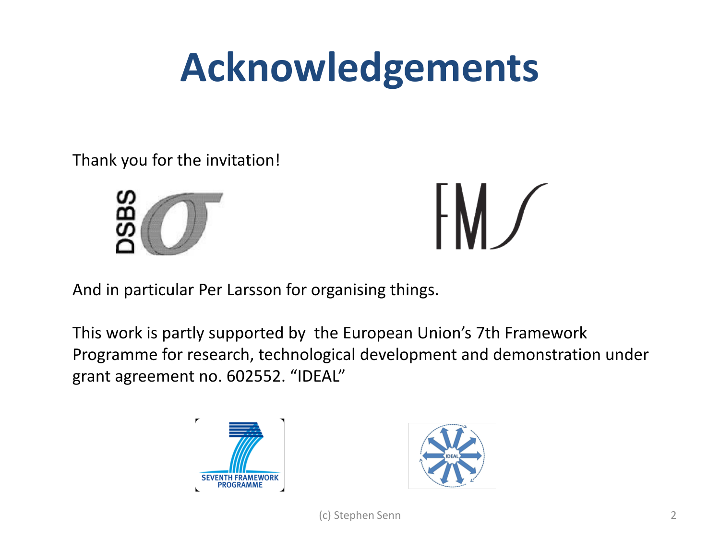#### **Acknowledgements**

Thank you for the invitation!





And in particular Per Larsson for organising things.

This work is partly supported by the European Union's 7th Framework Programme for research, technological development and demonstration under grant agreement no. 602552. "IDEAL"



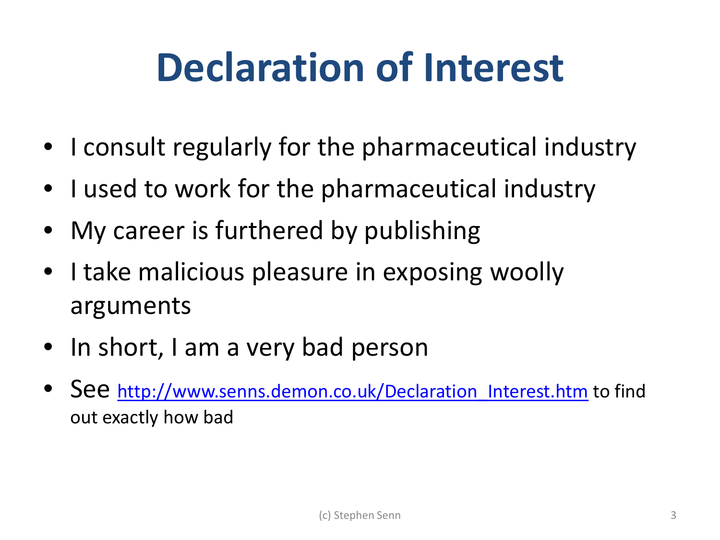#### **Declaration of Interest**

- I consult regularly for the pharmaceutical industry
- I used to work for the pharmaceutical industry
- My career is furthered by publishing
- I take malicious pleasure in exposing woolly arguments
- In short, I am a very bad person
- See http://www.senns.demon.co.uk/Declaration Interest.htm to find out exactly how bad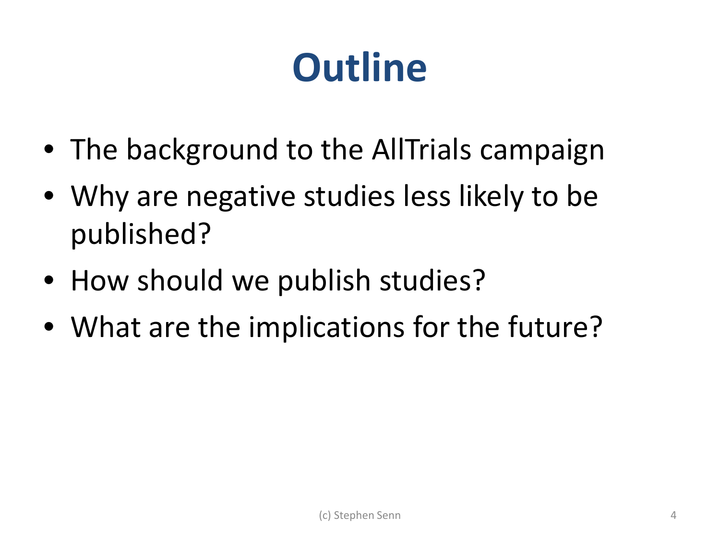#### **Outline**

- The background to the AllTrials campaign
- Why are negative studies less likely to be published?
- How should we publish studies?
- What are the implications for the future?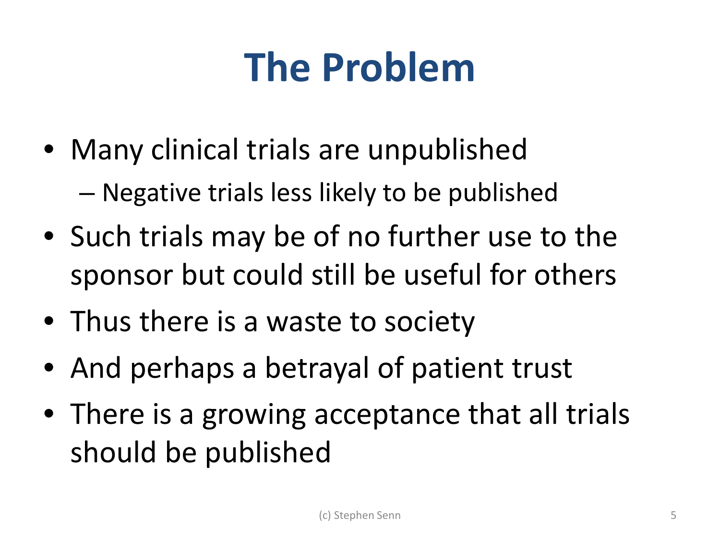#### **The Problem**

- Many clinical trials are unpublished – Negative trials less likely to be published
- Such trials may be of no further use to the sponsor but could still be useful for others
- Thus there is a waste to society
- And perhaps a betrayal of patient trust
- There is a growing acceptance that all trials should be published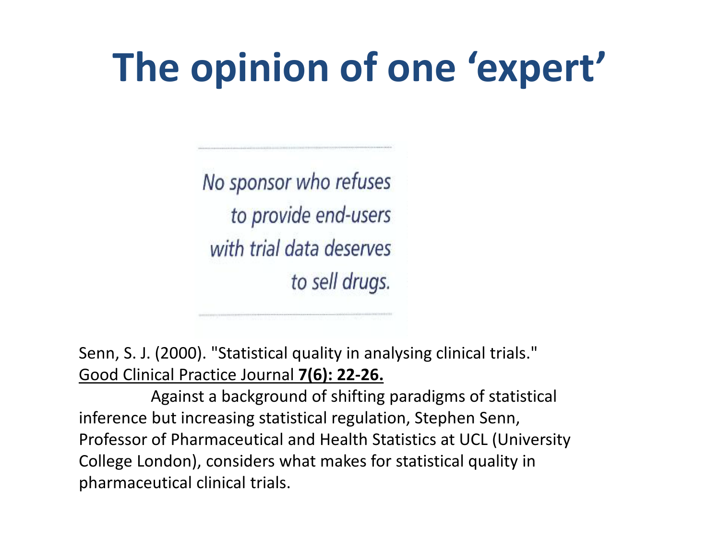#### **The opinion of one 'expert'**

No sponsor who refuses to provide end-users with trial data deserves to sell drugs.

Senn, S. J. (2000). "Statistical quality in analysing clinical trials." Good Clinical Practice Journal **7(6): 22-26.**

Against a background of shifting paradigms of statistical inference but increasing statistical regulation, Stephen Senn, Professor of Pharmaceutical and Health Statistics at UCL (University College London), considers what makes for statistical quality in pharmaceutical clinical trials.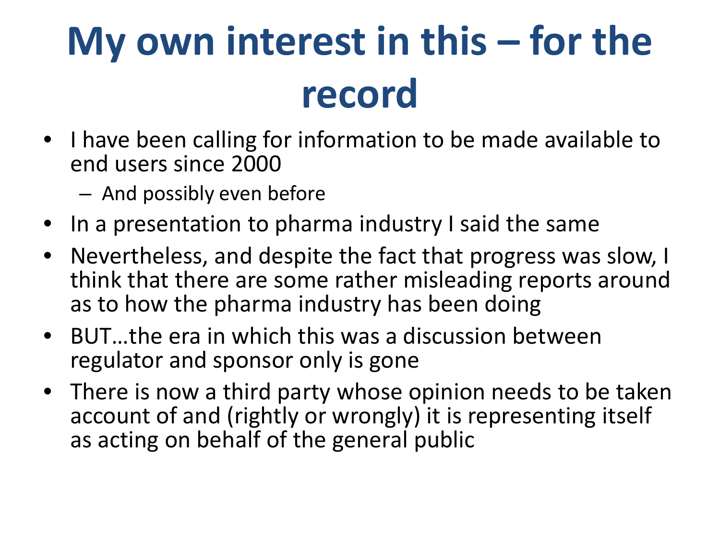# **My own interest in this – for the record**

- I have been calling for information to be made available to end users since 2000
	- And possibly even before
- In a presentation to pharma industry I said the same
- Nevertheless, and despite the fact that progress was slow, I think that there are some rather misleading reports around as to how the pharma industry has been doing
- BUT…the era in which this was a discussion between regulator and sponsor only is gone
- There is now a third party whose opinion needs to be taken account of and (rightly or wrongly) it is representing itself as acting on behalf of the general public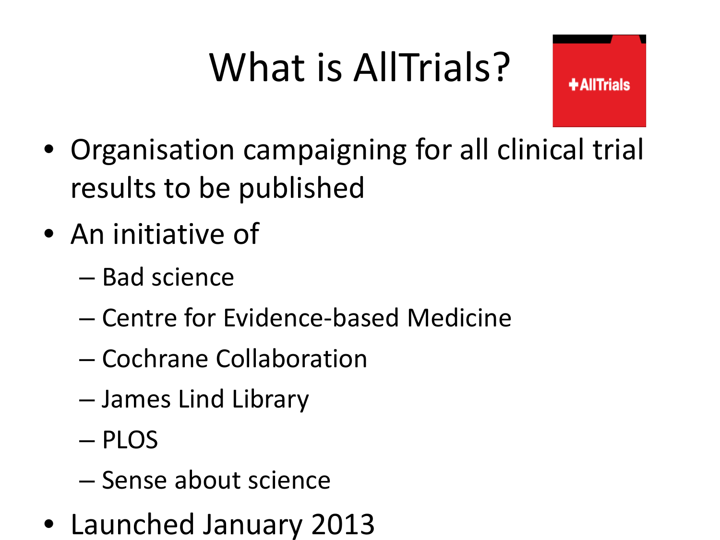# What is AllTrials?

**+AllTrials** 

- Organisation campaigning for all clinical trial results to be published
- An initiative of
	- Bad science
	- Centre for Evidence-based Medicine
	- Cochrane Collaboration
	- James Lind Library
	- PLOS
	- Sense about science
- Launched January 2013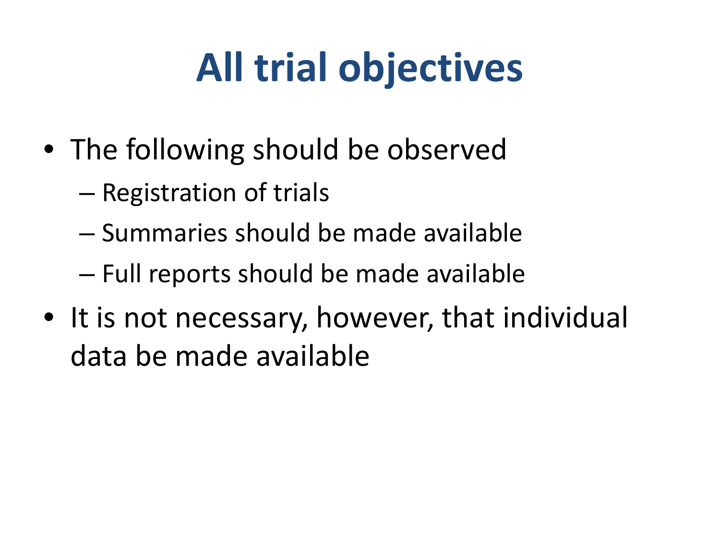### **All trial objectives**

- The following should be observed
	- Registration of trials
	- Summaries should be made available
	- Full reports should be made available
- It is not necessary, however, that individual data be made available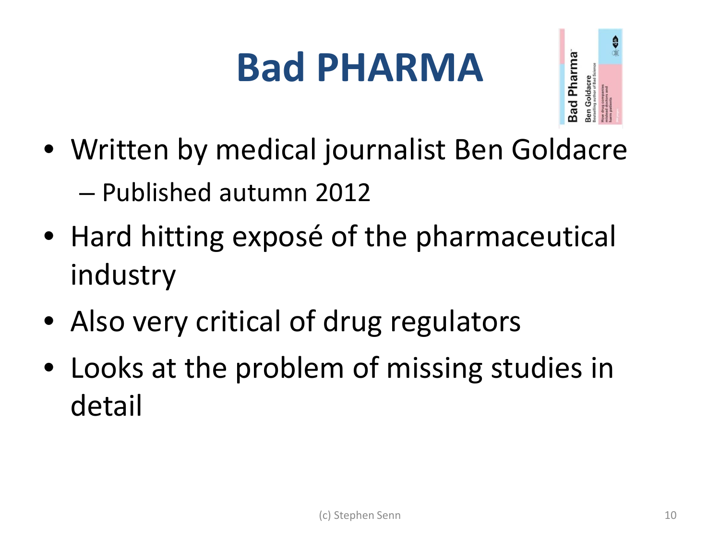#### **Bad PHARMA**



- Written by medical journalist Ben Goldacre – Published autumn 2012
- Hard hitting exposé of the pharmaceutical industry
- Also very critical of drug regulators
- Looks at the problem of missing studies in detail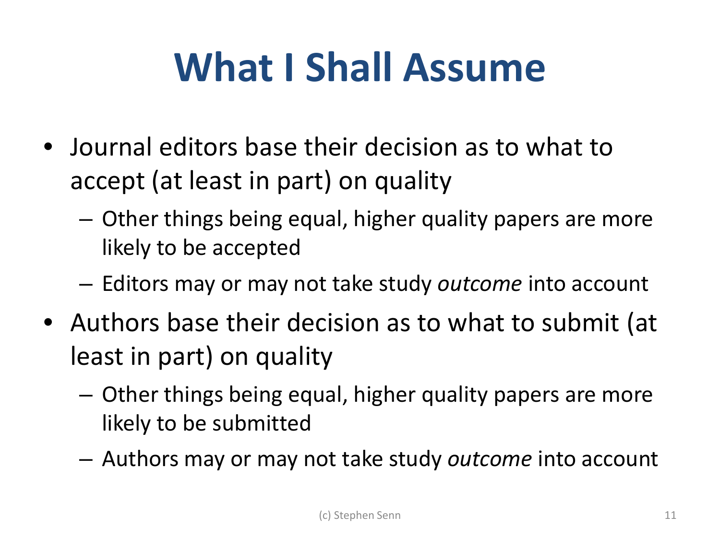#### **What I Shall Assume**

- Journal editors base their decision as to what to accept (at least in part) on quality
	- Other things being equal, higher quality papers are more likely to be accepted
	- Editors may or may not take study *outcome* into account
- Authors base their decision as to what to submit (at least in part) on quality
	- Other things being equal, higher quality papers are more likely to be submitted
	- Authors may or may not take study *outcome* into account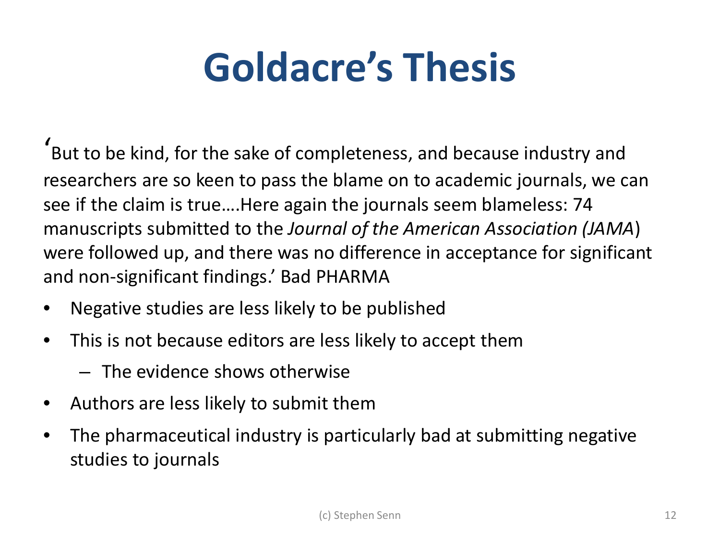#### **Goldacre's Thesis**

' But to be kind, for the sake of completeness, and because industry and researchers are so keen to pass the blame on to academic journals, we can see if the claim is true….Here again the journals seem blameless: 74 manuscripts submitted to the *Journal of the American Association (JAMA*) were followed up, and there was no difference in acceptance for significant and non-significant findings.' Bad PHARMA

- Negative studies are less likely to be published
- This is not because editors are less likely to accept them
	- The evidence shows otherwise
- Authors are less likely to submit them
- The pharmaceutical industry is particularly bad at submitting negative studies to journals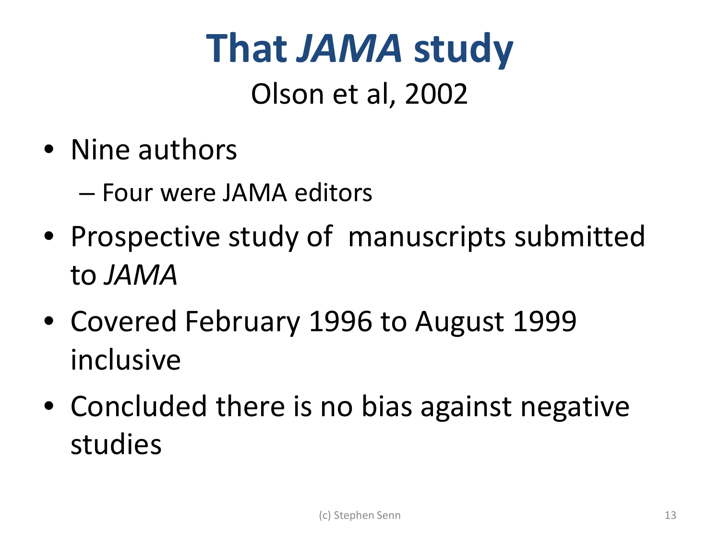# **That** *JAMA* **study**

#### Olson et al, 2002

• Nine authors

– Four were JAMA editors

- Prospective study of manuscripts submitted to *JAMA*
- Covered February 1996 to August 1999 inclusive
- Concluded there is no bias against negative studies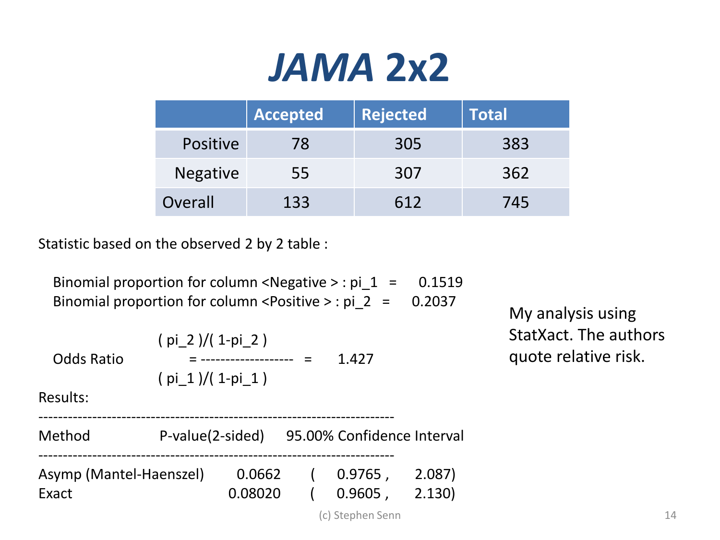#### *JAMA* **2x2**

|                 | <b>Accepted</b> | <b>Rejected</b> | <b>Total</b> |
|-----------------|-----------------|-----------------|--------------|
| <b>Positive</b> | 78              | 305             | 383          |
| Negative        | 55              | 307             | 362          |
| Overall         | 133             | 612             | 745          |

Statistic based on the observed 2 by 2 table :

| Binomial proportion for column <negative> : pi <math>1 = 0.1519</math></negative> |  |
|-----------------------------------------------------------------------------------|--|
| Binomial proportion for column <positive> : pi <math>2 = 0.2037</math></positive> |  |

| <b>Odds Ratio</b>                | $(pi 2)/(1-pi 2)$<br>$(pi 1)/(1-pi 1)$ |                   | $=$ | 1.427                      |                | StatXact. The authors<br>quote relative risk. |    |
|----------------------------------|----------------------------------------|-------------------|-----|----------------------------|----------------|-----------------------------------------------|----|
| Results:                         |                                        |                   |     |                            |                |                                               |    |
| Method                           | P-value(2-sided)                       |                   |     | 95.00% Confidence Interval |                |                                               |    |
| Asymp (Mantel-Haenszel)<br>Exact |                                        | 0.0662<br>0.08020 |     | $0.9765$ ,<br>$0.9605$ ,   | 2.087<br>2.130 |                                               |    |
|                                  |                                        |                   |     | (c) Stephen Senn           |                |                                               | 14 |

My analysis using StatXact. The authors quote relative risk.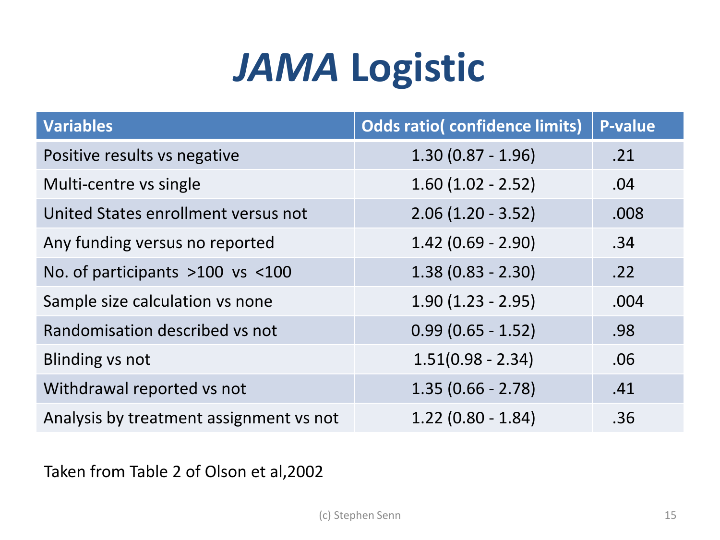#### *JAMA* **Logistic**

| <b>Variables</b>                        | <b>Odds ratio(confidence limits)</b> | <b>P-value</b> |
|-----------------------------------------|--------------------------------------|----------------|
| Positive results vs negative            | $1.30(0.87 - 1.96)$                  | .21            |
| Multi-centre vs single                  | $1.60(1.02 - 2.52)$                  | .04            |
| United States enrollment versus not     | $2.06(1.20 - 3.52)$                  | .008           |
| Any funding versus no reported          | $1.42(0.69 - 2.90)$                  | .34            |
| No. of participants >100 vs <100        | $1.38(0.83 - 2.30)$                  | .22            |
| Sample size calculation vs none         | $1.90(1.23 - 2.95)$                  | .004           |
| Randomisation described vs not          | $0.99(0.65 - 1.52)$                  | .98            |
| Blinding vs not                         | $1.51(0.98 - 2.34)$                  | .06            |
| Withdrawal reported vs not              | $1.35(0.66 - 2.78)$                  | .41            |
| Analysis by treatment assignment vs not | $1.22(0.80 - 1.84)$                  | .36            |

Taken from Table 2 of Olson et al,2002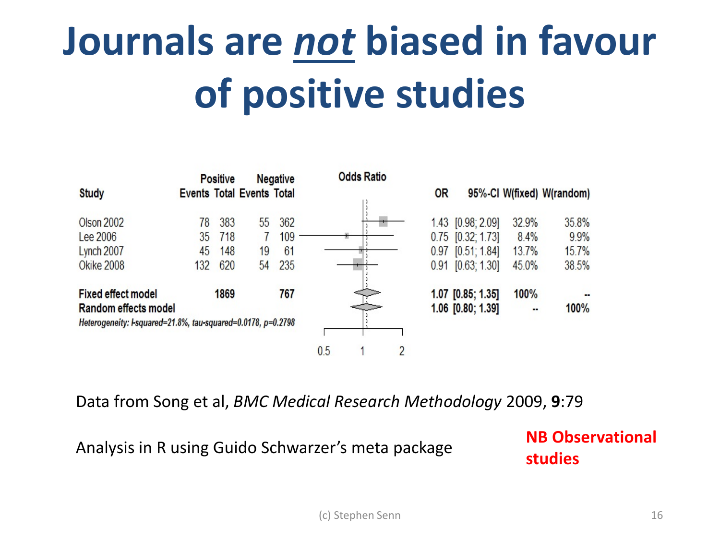# **Journals are** *not* **biased in favour of positive studies**



Data from Song et al, *BMC Medical Research Methodology* 2009, **9**:79

Analysis in R using Guido Schwarzer's meta package **NB Observational** 

**studies**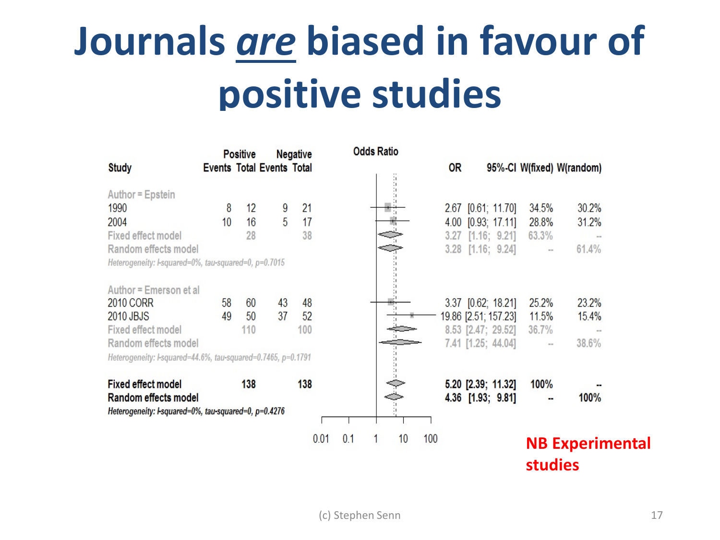# **Journals** *are* **biased in favour of positive studies**

|                                                              |                                  | <b>Positive</b> |    | <b>Negative</b> | <b>Odds Ratio</b> |                     |           |                      |                |                           |
|--------------------------------------------------------------|----------------------------------|-----------------|----|-----------------|-------------------|---------------------|-----------|----------------------|----------------|---------------------------|
| <b>Study</b>                                                 | <b>Events Total Events Total</b> |                 |    |                 |                   |                     | <b>OR</b> |                      |                | 95%-CI W(fixed) W(random) |
| Author = Epstein                                             |                                  |                 |    |                 |                   | и<br>÷,<br>÷г<br>÷г |           |                      |                |                           |
| 1990                                                         | 8                                | 12              | 9  | 21              |                   |                     |           | 2.67 [0.61; 11.70]   | 34.5%          | 30.2%                     |
| 2004                                                         | 10                               | 16              | 5  | 17              |                   |                     |           | 4.00 [0.93; 17.11]   | 28.8%          | 31.2%                     |
| Fixed effect model                                           |                                  | 28              |    | 38              |                   |                     | 3.27      | [1.16; 9.21]         | 63.3%          |                           |
| Random effects model                                         |                                  |                 |    |                 |                   |                     | 3.28      | [1.16; 9.24]         | $\sim$         | 61.4%                     |
| Heterogeneity: l-squared=0%, tau-squared=0, p=0.7015         |                                  |                 |    |                 |                   |                     |           |                      |                |                           |
| Author = Emerson et al                                       |                                  |                 |    |                 |                   |                     |           |                      |                |                           |
| 2010 CORR                                                    | 58                               | 60              | 43 | 48              |                   |                     |           | 3.37 [0.62; 18.21]   | 25.2%          | 23.2%                     |
| 2010 JBJS                                                    | 49                               | 50              | 37 | 52              |                   |                     |           | 19.86 [2.51; 157.23] | 11.5%          | 15.4%                     |
| Fixed effect model                                           |                                  | 110             |    | 100             |                   |                     |           | 8.53 [2.47; 29.52]   | 36.7%          |                           |
| Random effects model                                         |                                  |                 |    |                 |                   |                     |           | 7.41 [1.25; 44.04]   | $\sim$ $-$     | 38.6%                     |
| Heterogeneity: l-squared=44.6%, tau-squared=0.7465, p=0.1791 |                                  |                 |    |                 |                   |                     |           |                      |                |                           |
| <b>Fixed effect model</b>                                    |                                  | 138             |    | 138             |                   | Ĩ                   |           | 5.20 [2.39; 11.32]   | 100%           |                           |
| Random effects model                                         |                                  |                 |    |                 |                   |                     |           | 4.36 [1.93; 9.81]    |                | 100%                      |
| Heterogeneity: I-squared=0%, tau-squared=0, p=0.4276         |                                  |                 |    |                 |                   | ÷г                  |           |                      |                |                           |
|                                                              |                                  |                 |    | 0.01            | 0.1               | 10                  | 100       |                      | <b>studies</b> | <b>NB Experimental</b>    |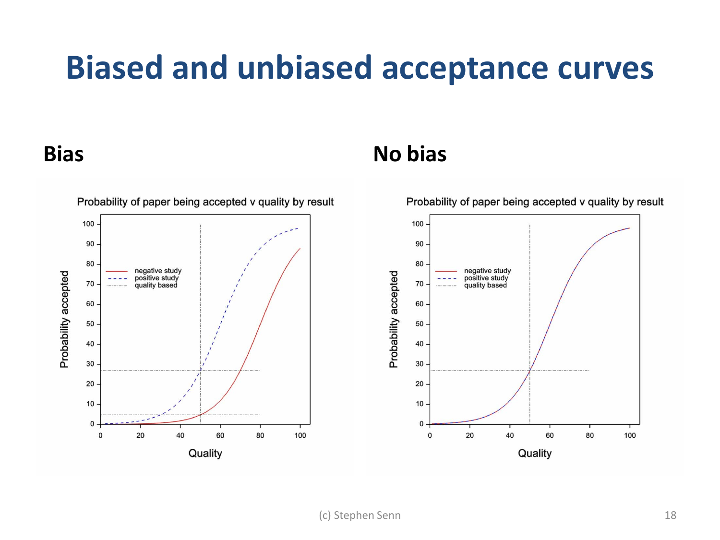#### **Biased and unbiased acceptance curves**

#### **Bias No bias**

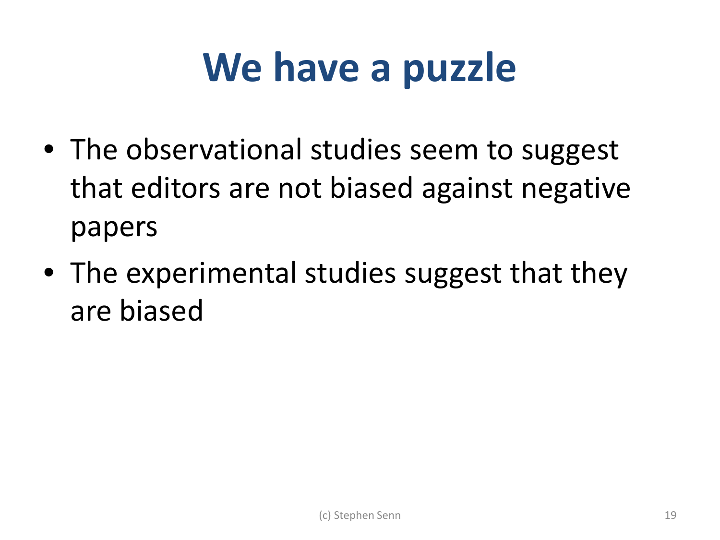#### **We have a puzzle**

- The observational studies seem to suggest that editors are not biased against negative papers
- The experimental studies suggest that they are biased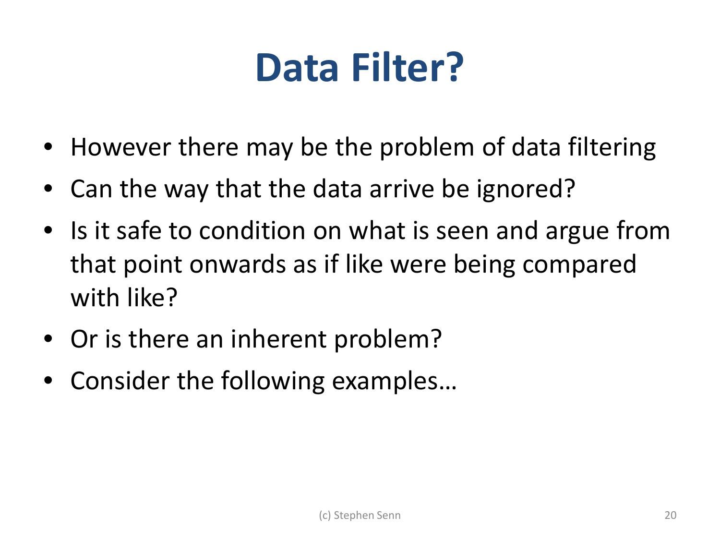#### **Data Filter?**

- However there may be the problem of data filtering
- Can the way that the data arrive be ignored?
- Is it safe to condition on what is seen and argue from that point onwards as if like were being compared with like?
- Or is there an inherent problem?
- Consider the following examples...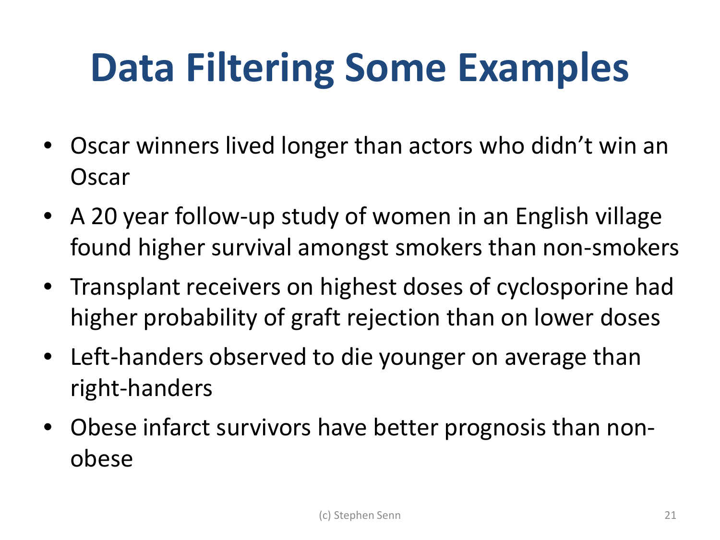## **Data Filtering Some Examples**

- Oscar winners lived longer than actors who didn't win an **Oscar**
- A 20 year follow-up study of women in an English village found higher survival amongst smokers than non-smokers
- Transplant receivers on highest doses of cyclosporine had higher probability of graft rejection than on lower doses
- Left-handers observed to die younger on average than right-handers
- Obese infarct survivors have better prognosis than nonobese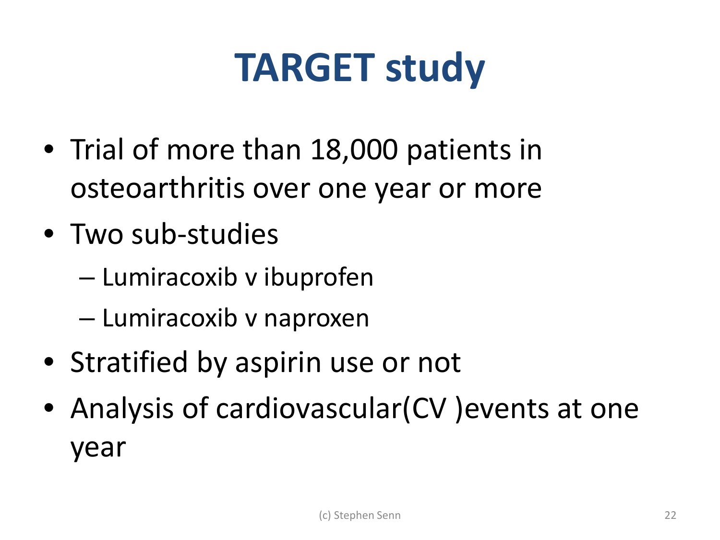#### **TARGET study**

- Trial of more than 18,000 patients in osteoarthritis over one year or more
- Two sub-studies
	- Lumiracoxib v ibuprofen
	- Lumiracoxib v naproxen
- Stratified by aspirin use or not
- Analysis of cardiovascular(CV) events at one year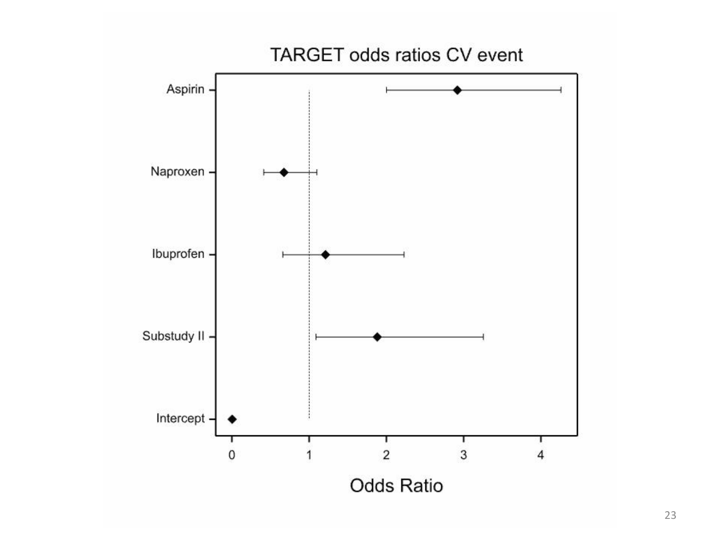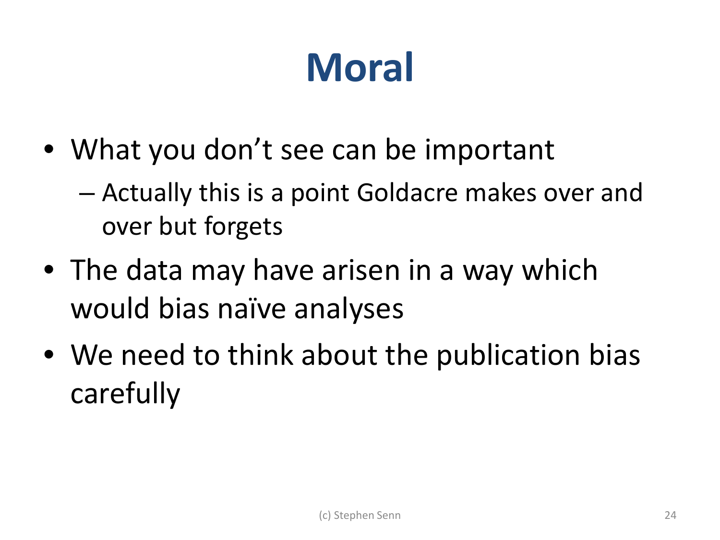## **Moral**

- What you don't see can be important
	- Actually this is a point Goldacre makes over and over but forgets
- The data may have arisen in a way which would bias naïve analyses
- We need to think about the publication bias carefully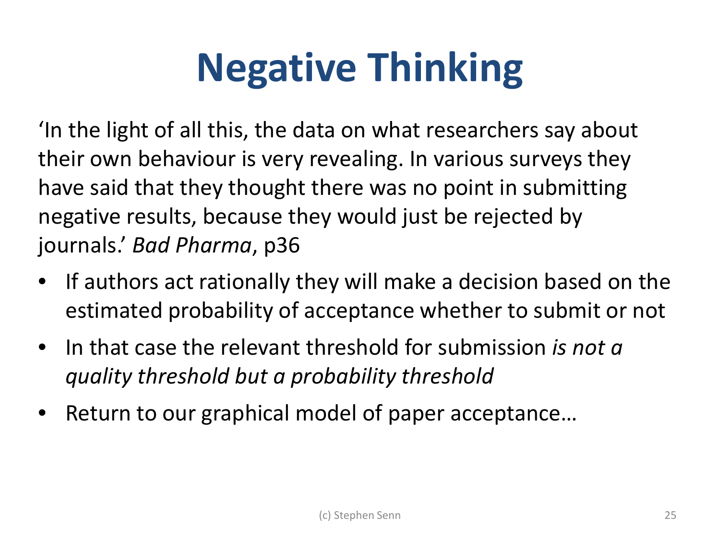## **Negative Thinking**

'In the light of all this, the data on what researchers say about their own behaviour is very revealing. In various surveys they have said that they thought there was no point in submitting negative results, because they would just be rejected by journals.' *Bad Pharma*, p36

- If authors act rationally they will make a decision based on the estimated probability of acceptance whether to submit or not
- In that case the relevant threshold for submission *is not a quality threshold but a probability threshold*
- Return to our graphical model of paper acceptance…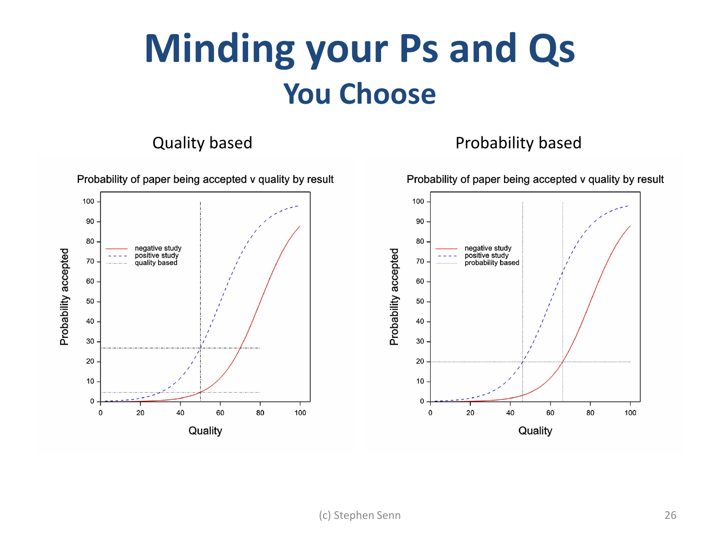#### **Minding your Ps and Qs You Choose**

#### Quality based **Probability based**

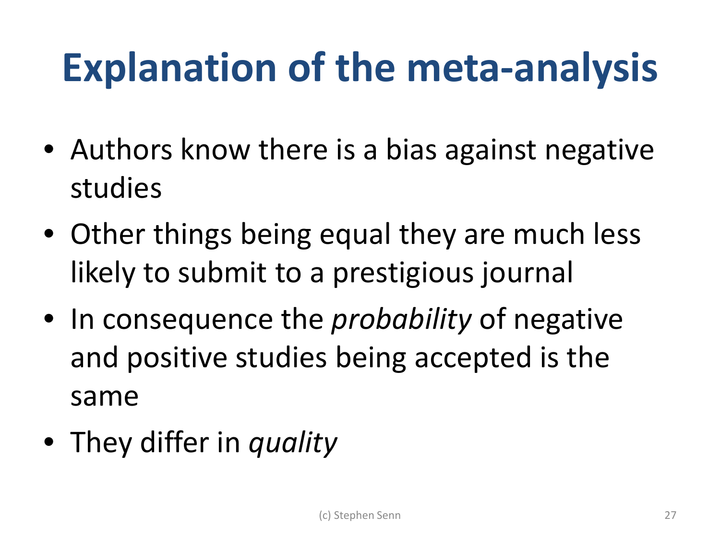## **Explanation of the meta-analysis**

- Authors know there is a bias against negative studies
- Other things being equal they are much less likely to submit to a prestigious journal
- In consequence the *probability* of negative and positive studies being accepted is the same
- They differ in *quality*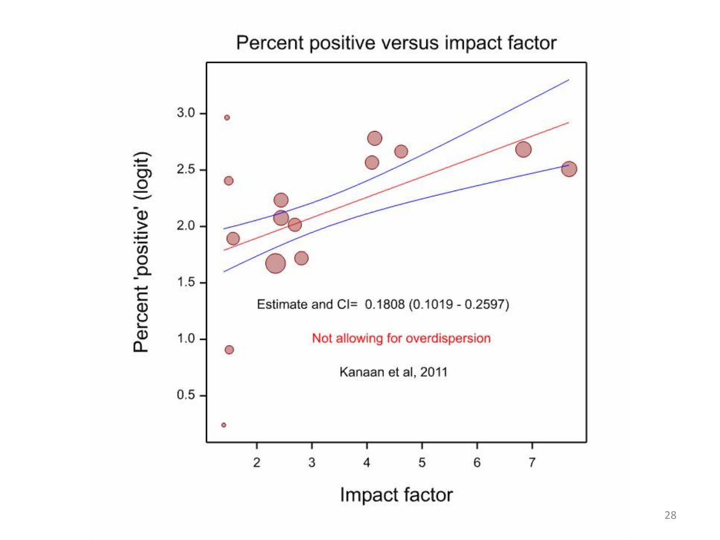Percent positive versus impact factor

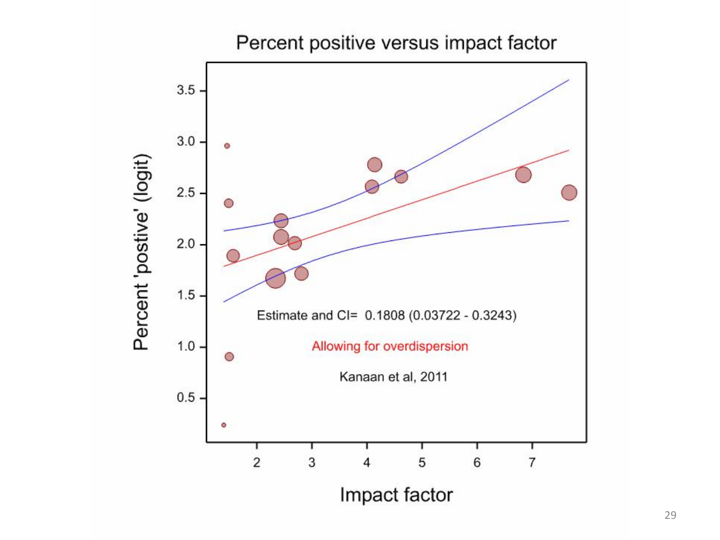

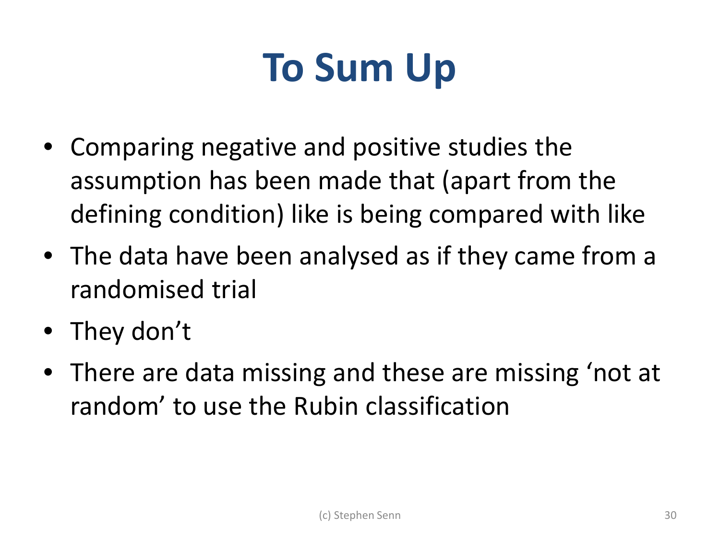#### **To Sum Up**

- Comparing negative and positive studies the assumption has been made that (apart from the defining condition) like is being compared with like
- The data have been analysed as if they came from a randomised trial
- They don't
- There are data missing and these are missing 'not at random' to use the Rubin classification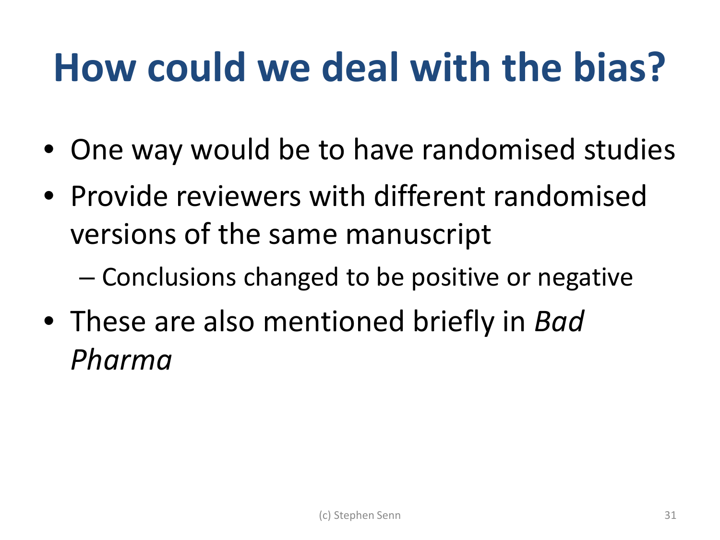#### **How could we deal with the bias?**

- One way would be to have randomised studies
- Provide reviewers with different randomised versions of the same manuscript
	- Conclusions changed to be positive or negative
- These are also mentioned briefly in *Bad Pharma*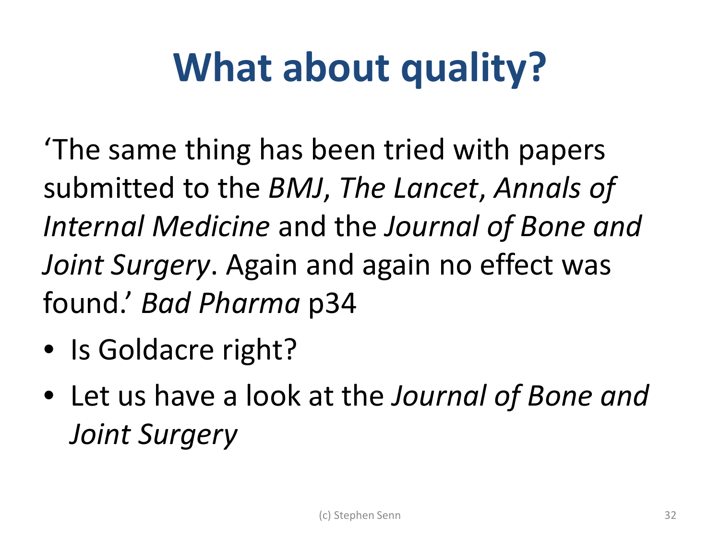## **What about quality?**

'The same thing has been tried with papers submitted to the *BMJ*, *The Lancet*, *Annals of Internal Medicine* and the *Journal of Bone and Joint Surgery*. Again and again no effect was found.' *Bad Pharma* p34

- Is Goldacre right?
- Let us have a look at the *Journal of Bone and Joint Surgery*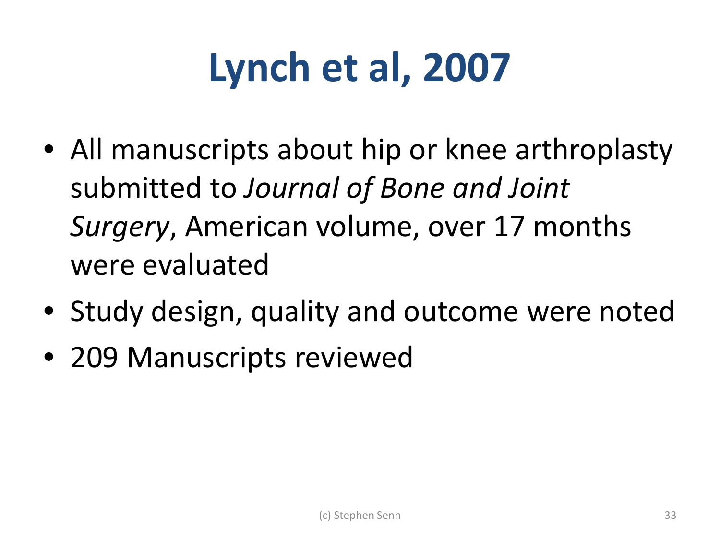## **Lynch et al, 2007**

- All manuscripts about hip or knee arthroplasty submitted to *Journal of Bone and Joint Surgery*, American volume, over 17 months were evaluated
- Study design, quality and outcome were noted
- 209 Manuscripts reviewed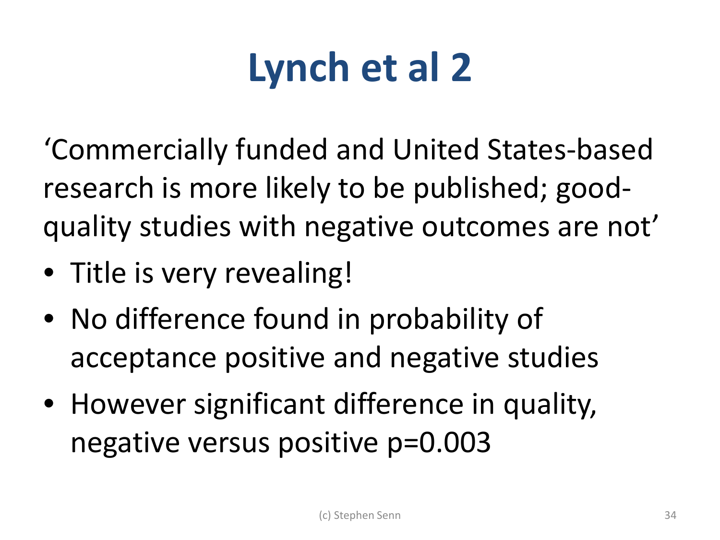## **Lynch et al 2**

'Commercially funded and United States-based research is more likely to be published; goodquality studies with negative outcomes are not'

- Title is very revealing!
- No difference found in probability of acceptance positive and negative studies
- However significant difference in quality, negative versus positive p=0.003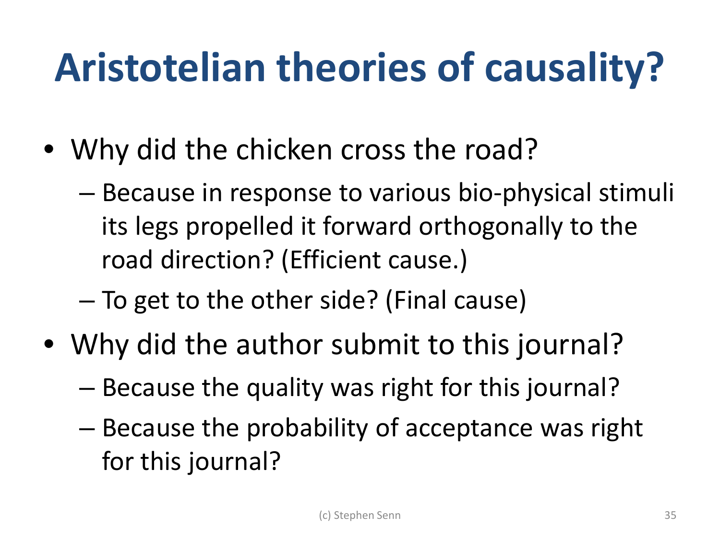## **Aristotelian theories of causality?**

- Why did the chicken cross the road?
	- Because in response to various bio-physical stimuli its legs propelled it forward orthogonally to the road direction? (Efficient cause.)
	- To get to the other side? (Final cause)
- Why did the author submit to this journal?
	- Because the quality was right for this journal?
	- Because the probability of acceptance was right for this journal?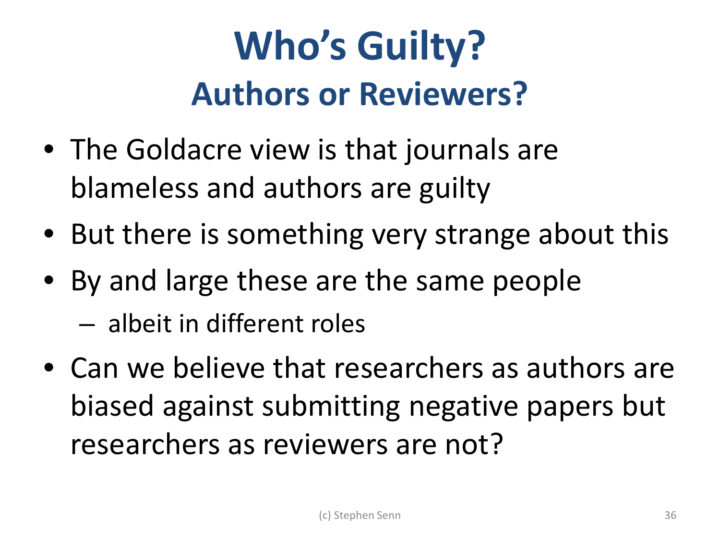#### **Who's Guilty? Authors or Reviewers?**

- The Goldacre view is that journals are blameless and authors are guilty
- But there is something very strange about this
- By and large these are the same people
	- albeit in different roles
- Can we believe that researchers as authors are biased against submitting negative papers but researchers as reviewers are not?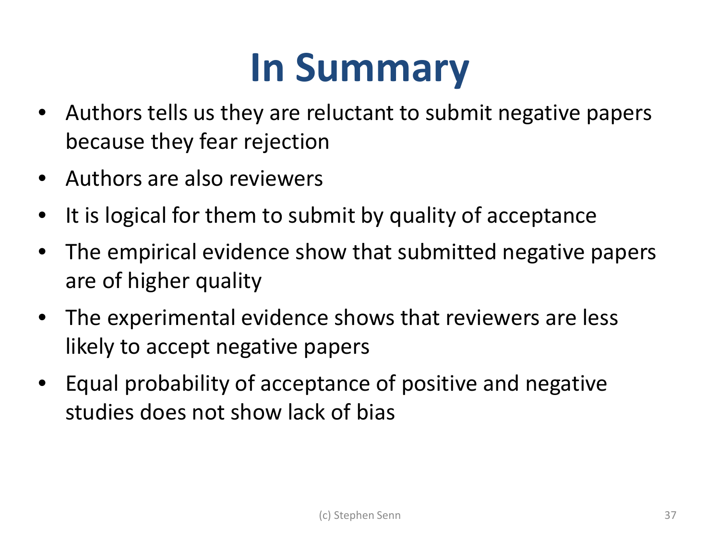#### **In Summary**

- Authors tells us they are reluctant to submit negative papers because they fear rejection
- Authors are also reviewers
- It is logical for them to submit by quality of acceptance
- The empirical evidence show that submitted negative papers are of higher quality
- The experimental evidence shows that reviewers are less likely to accept negative papers
- Equal probability of acceptance of positive and negative studies does not show lack of bias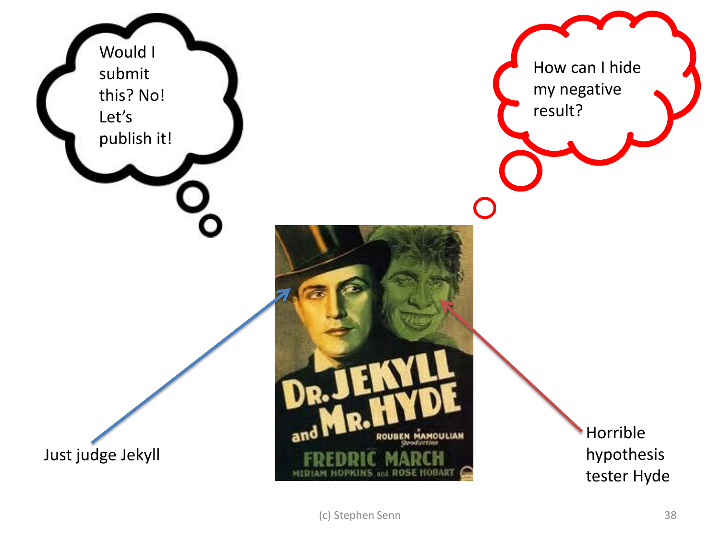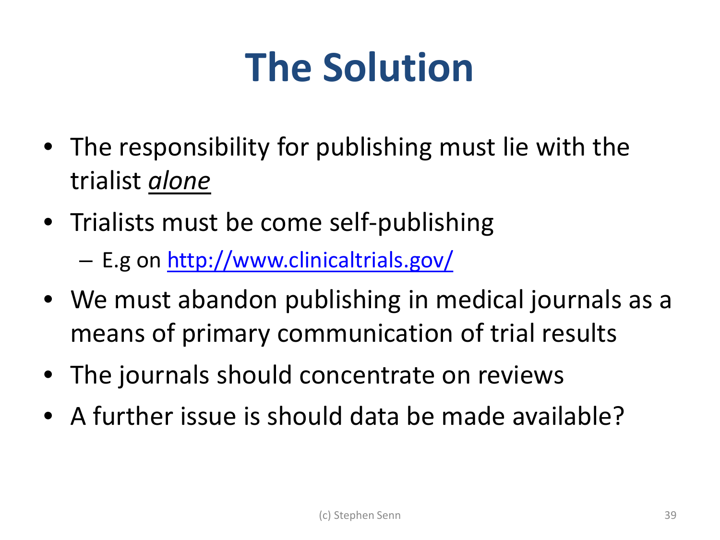#### **The Solution**

- The responsibility for publishing must lie with the trialist *alone*
- Trialists must be come self-publishing – E.g on<http://www.clinicaltrials.gov/>
- We must abandon publishing in medical journals as a means of primary communication of trial results
- The journals should concentrate on reviews
- A further issue is should data be made available?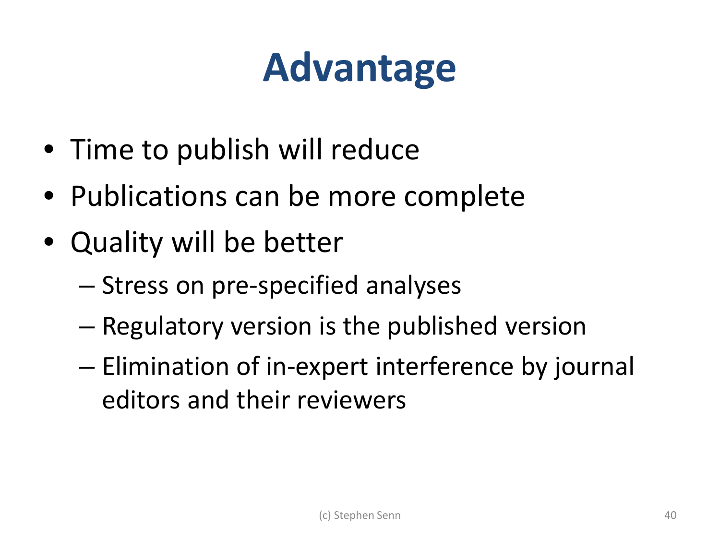#### **Advantage**

- Time to publish will reduce
- Publications can be more complete
- Quality will be better
	- Stress on pre-specified analyses
	- Regulatory version is the published version
	- Elimination of in-expert interference by journal editors and their reviewers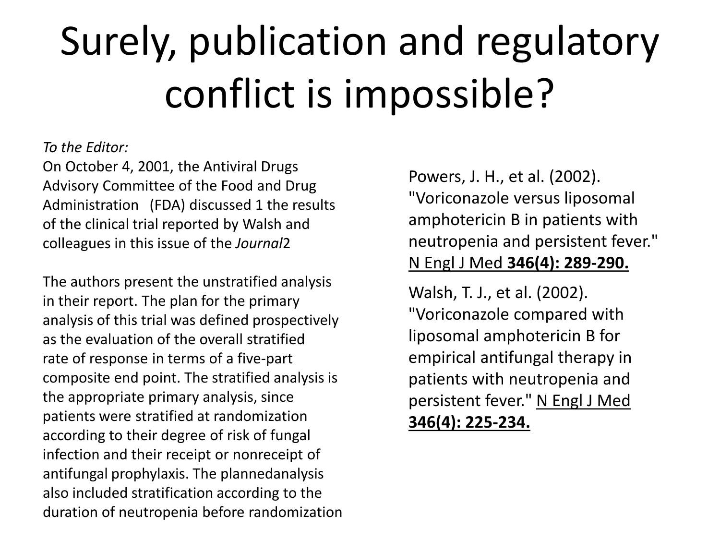# Surely, publication and regulatory conflict is impossible?

#### *To the Editor:*

On October 4, 2001, the Antiviral Drugs Advisory Committee of the Food and Drug Administration (FDA) discussed 1 the results of the clinical trial reported by Walsh and colleagues in this issue of the *Journal*2

The authors present the unstratified analysis in their report. The plan for the primary analysis of this trial was defined prospectively as the evaluation of the overall stratified rate of response in terms of a five-part composite end point. The stratified analysis is the appropriate primary analysis, since patients were stratified at randomization according to their degree of risk of fungal infection and their receipt or nonreceipt of antifungal prophylaxis. The plannedanalysis also included stratification according to the duration of neutropenia before randomization Powers, J. H., et al. (2002). "Voriconazole versus liposomal amphotericin B in patients with neutropenia and persistent fever." N Engl J Med **346(4): 289-290.**

Walsh, T. J., et al. (2002). "Voriconazole compared with liposomal amphotericin B for empirical antifungal therapy in patients with neutropenia and persistent fever." N Engl J Med **346(4): 225-234.**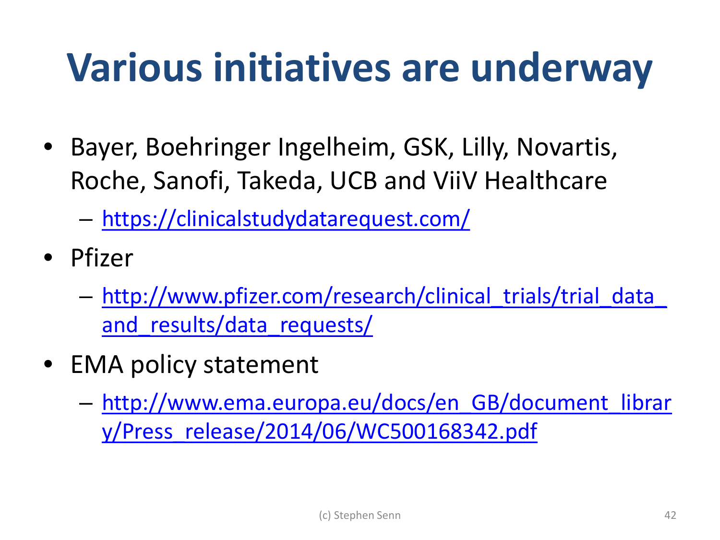#### **Various initiatives are underway**

- Bayer, Boehringer Ingelheim, GSK, Lilly, Novartis, Roche, Sanofi, Takeda, UCB and ViiV Healthcare
	- <https://clinicalstudydatarequest.com/>
- Pfizer
	- [http://www.pfizer.com/research/clinical\\_trials/trial\\_data\\_](http://www.pfizer.com/research/clinical_trials/trial_data_and_results/data_requests/) and results/data requests/
- EMA policy statement
	- [http://www.ema.europa.eu/docs/en\\_GB/document\\_librar](http://www.ema.europa.eu/docs/en_GB/document_library/Press_release/2014/06/WC500168342.pdf) [y/Press\\_release/2014/06/WC500168342.pdf](http://www.ema.europa.eu/docs/en_GB/document_library/Press_release/2014/06/WC500168342.pdf)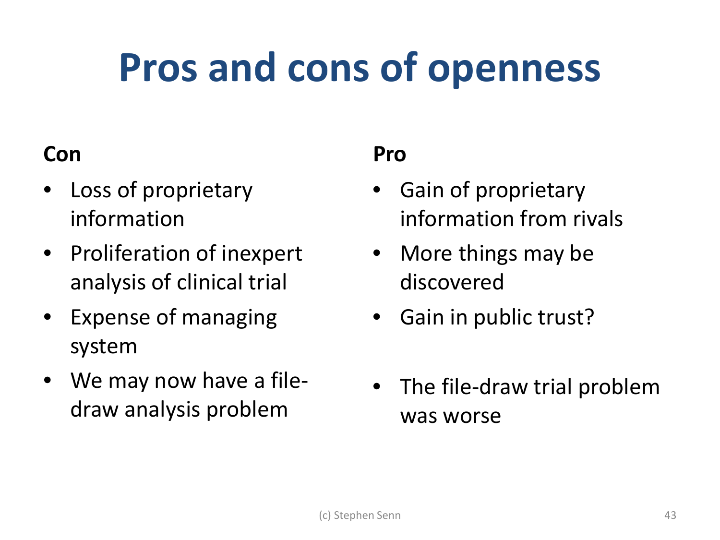#### **Pros and cons of openness**

#### **Con**

- Loss of proprietary information
- Proliferation of inexpert analysis of clinical trial
- Expense of managing system
- We may now have a filedraw analysis problem

#### **Pro**

- Gain of proprietary information from rivals
- More things may be discovered
- Gain in public trust?
- The file-draw trial problem was worse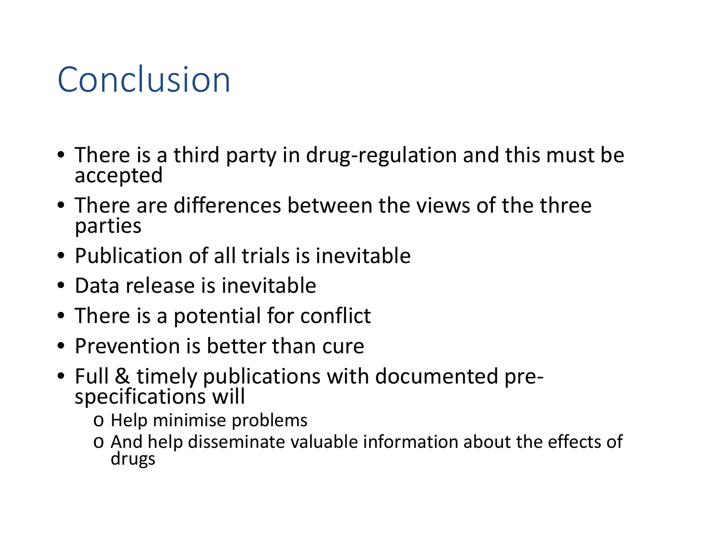#### Conclusion

- There is a third party in drug-regulation and this must be accepted
- There are differences between the views of the three parties
- Publication of all trials is inevitable
- Data release is inevitable
- There is a potential for conflict
- Prevention is better than cure
- Full & timely publications with documented pre- specifications will
	- o Help minimise problems
	- o And help disseminate valuable information about the effects of drugs